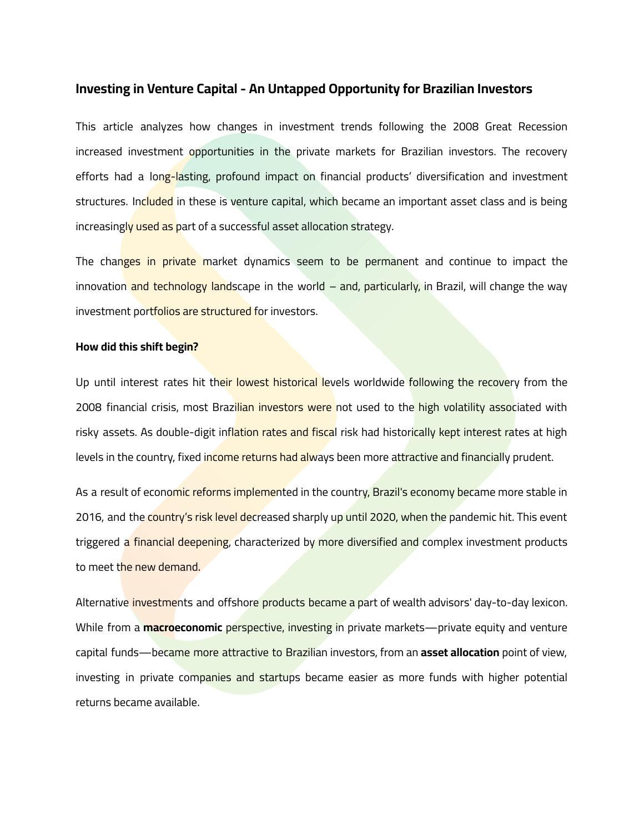# **Investing in Venture Capital - An Untapped Opportunity for Brazilian Investors**

This article analyzes how changes in investment trends following the 2008 Great Recession increased investment opportunities in the private markets for Brazilian investors. The recovery efforts had a long-lasting, profound impact on financial products' diversification and investment structures. Included in these is venture capital, which became an important asset class and is being increasingly used as part of a successful asset allocation strategy.

The changes in private market dynamics seem to be permanent and continue to impact the innovation and technology landscape in the world  $-$  and, particularly, in Brazil, will change the way investment portfolios are structured for investors.

# **How did this shift begin?**

Up until interest rates hit their lowest historical levels worldwide following the recovery from the 2008 financial crisis, most Brazilian investors were not used to the high volatility associated with risky assets. As double-digit inflation rates and fiscal risk had historically kept interest rates at high levels in the country, fixed income returns had always been more attractive and financially prudent.

As a result of economic reforms implemented in the country, Brazil's economy became more stable in 2016, and the country's risk level decreased sharply up until 2020, when the pandemic hit. This event triggered a financial deepening, characterized by more diversified and complex investment products to meet the new demand.

Alternative investments and offshore products became a part of wealth advisors' day-to-day lexicon. While from a **macroeconomic** perspective, investing in private markets—private equity and venture capital funds—became more attractive to Brazilian investors, from an **asset allocation** point of view, investing in private companies and startups became easier as more funds with higher potential returns became available.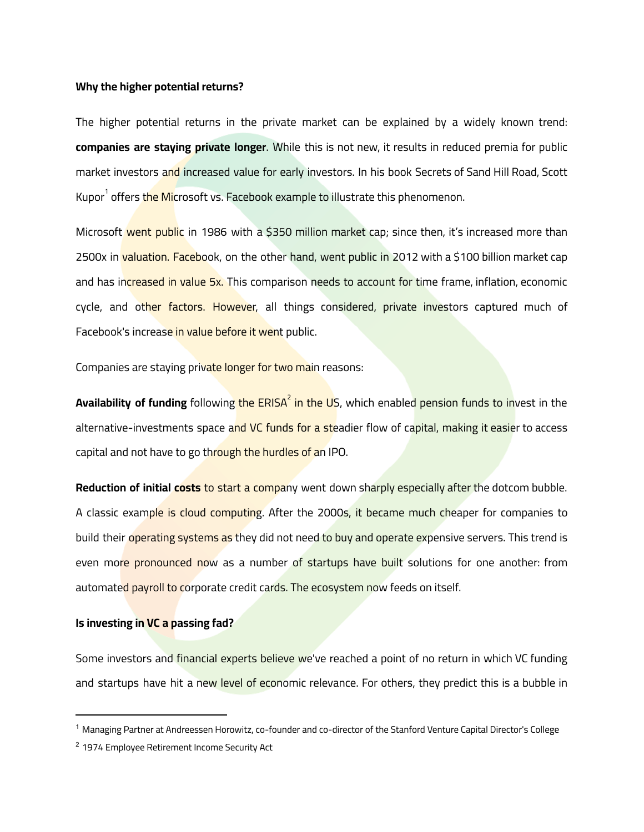### **Why the higher potential returns?**

The higher potential returns in the private market can be explained by a widely known trend: **companies are staying private longer**. While this is not new, it results in reduced premia for public market investors and increased value for early investors. In his book Secrets of Sand Hill Road, Scott Kupor<sup>1</sup> offers <mark>the Mi</mark>crosoft vs. Facebook example to illustrate this phenomenon.

Microsoft went public in 1986 with a \$350 million market cap; since then, it's increased more than 2500x in valuation. Facebook, on the other hand, went public in 2012 with a \$100 billion market cap and has increased in value 5x. This comparison needs to account for time frame, inflation, economic cycle, and other factors. However, all things considered, private investors captured much of Facebook's increase in value before it went public.

Companies are staying private longer for two main reasons:

**Availability of funding** followin<mark>g the ERISA<sup>2</sup> in the US</mark>, which enable<mark>d pension funds to in</mark>vest in the alternative-investments space and VC funds for a steadier flow of capital, making it easier to access capital and not have to go through the hurdles of an IPO.

**Reduction of initial costs** to start a company went down sharply especially after the dotcom bubble. A classic example is cloud computing. After the 2000s, it became much cheaper for companies to build their operating systems as they did not need to buy and operate expensive servers. This trend is even more pronounced now as a number of startups have built solutions for one another: from automated payroll to corporate credit cards. The ecosystem now feeds on itself.

## **Is investing in VC a passing fad?**

Some investors and financial experts believe we've reached a point of no return in which VC funding and startups have hit a new level of economic relevance. For others, they predict this is a bubble in

<sup>1</sup> Managing Partner at Andreessen Horowitz, co-founder and co-director of the Stanford Venture Capital Director's College

<sup>&</sup>lt;sup>2</sup> 1974 Employee Retirement Income Security Act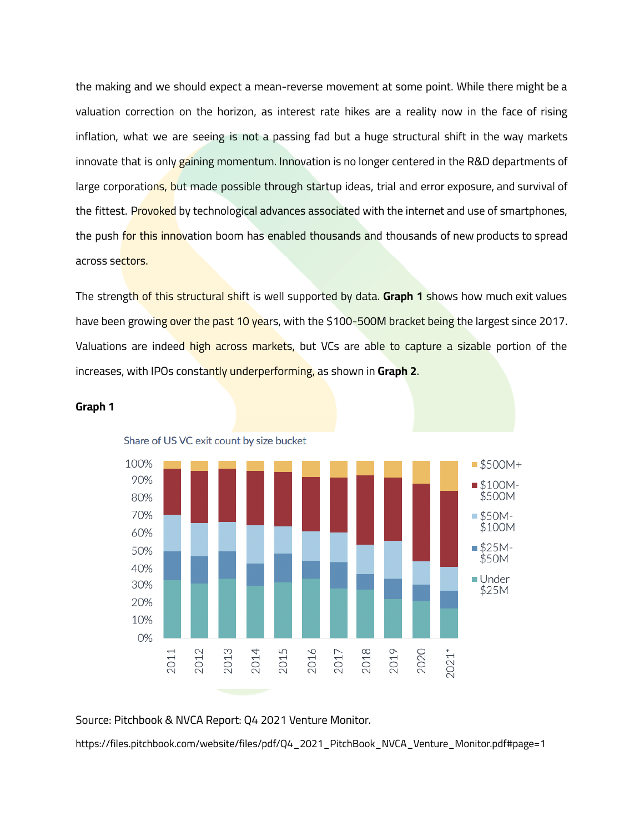the making and we should expect a mean-reverse movement at some point. While there might be a valuation correction on the horizon, as interest rate hikes are a reality now in the face of rising inflation, what we are seeing is not a passing fad but a huge structural shift in the way markets innovate that is only gaining momentum. Innovation is no longer centered in the R&D departments of large corporations, but made possible through startup ideas, trial and error exposure, and survival of the fittest. Provoked by technological advances associated with the internet and use of smartphones, the push for this innovation boom has enabled thousands and thousands of new products to spread across sectors.

The strength of this structural shift is well supported by data. **Graph 1** shows how much exit values have been growing over the past 10 years, with the \$100-500M bracket being the largest since 2017. Valuations are indeed high across markets, but VCs are able to capture a sizable portion of the increases, with IPOs constantly underperforming, as shown in **Graph 2**.





Source: Pitchbook & NVCA Report: Q4 2021 Venture Monitor.

https://files.pitchbook.com/website/files/pdf/Q4\_2021\_PitchBook\_NVCA\_Venture\_Monitor.pdf#page=1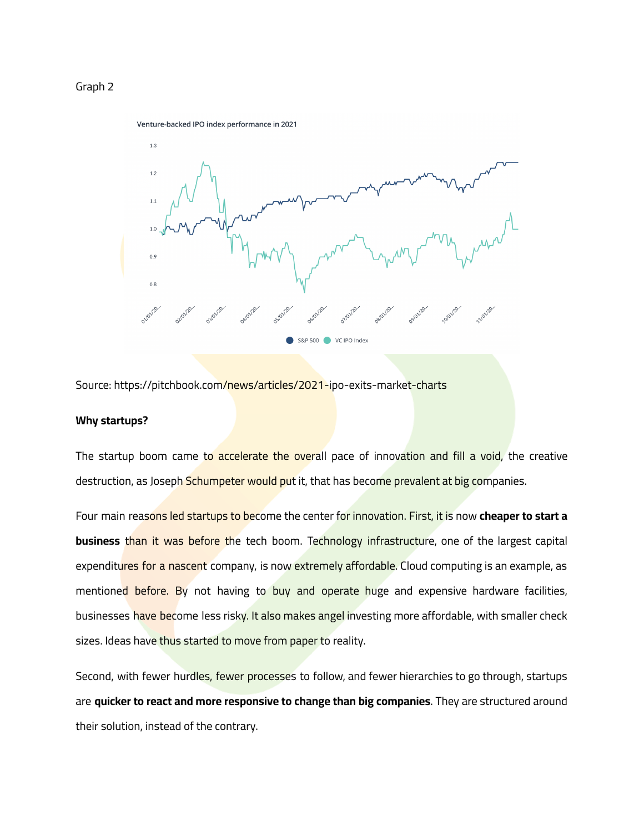## Graph 2



Source: https://pitchbook.com/news/articles/2021-ipo-exits-market-charts

#### **Why startups?**

The startup boom came to accelerate the overall pace of innovation and fill a void, the creative destruction, as Joseph Schumpeter would put it, that has become prevalent at big companies.

Four main reasons led startups to become the center for innovation. First, it is now **cheaper to start a business** than it was before the tech boom. Technology infrastructure, one of the largest capital expenditures for a nascent company, is now extremely affordable. Cloud computing is an example, as mentioned before. By not having to buy and operate huge and expensive hardware facilities, businesses have become less risky. It also makes angel investing more affordable, with smaller check sizes. Ideas have thus started to move from paper to reality.

Second, with fewer hurdles, fewer processes to follow, and fewer hierarchies to go through, startups are **quicker to react and more responsive to change than big companies**. They are structured around their solution, instead of the contrary.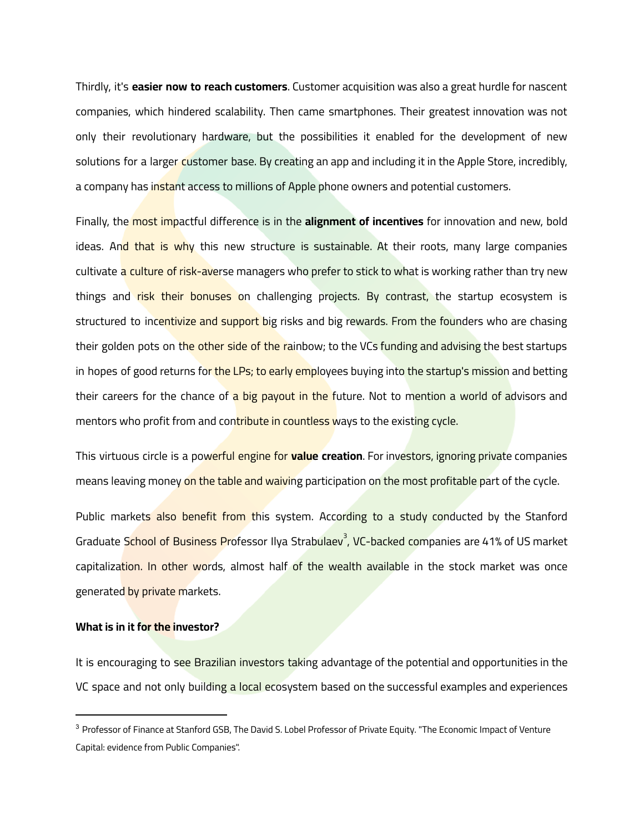Thirdly, it's **easier now to reach customers**. Customer acquisition was also a great hurdle for nascent companies, which hindered scalability. Then came smartphones. Their greatest innovation was not only their revolutionary hardware, but the possibilities it enabled for the development of new solutions for a larger customer base. By creating an app and including it in the Apple Store, incredibly, a company has instant access to millions of Apple phone owners and potential customers.

Finally, the most impactful difference is in the **alignment of incentives** for innovation and new, bold ideas. And that is why this new structure is sustainable. At their roots, many large companies cultivate a culture of risk-averse managers who prefer to stick to what is working rather than try new things and risk their bonuses on challenging projects. By contrast, the startup ecosystem is structured to incentivize and support big risks and big rewards. From the founders who are chasing their golden pots on the other side of the rainbow; to the VCs funding and advising the best startups in hopes of good returns for the LPs; to early employees buying into the startup's mission and betting their careers for the chance of a big payout in the future. Not to mention a world of advisors and mentors who profit from and contribute in countless ways to the existing cycle.

This virtuous circle is a powerful engine for **value creation**. For investors, ignoring private companies means leaving money on the table and waiving participation on the most profitable part of the cycle.

Public markets also benefit from this system. According to a study conducted by the Stanford Graduate <mark>School of Business Pro</mark>fessor Ilya Strab<mark>ulaev<sup>3</sup>, VC-backed com</mark>panies are 41% of US market capitalization. In other words, almost half of the wealth available in the stock market was once generated by private markets.

### **What is in it for the investor?**

It is encouraging to see Brazilian investors taking advantage of the potential and opportunities in the VC space and not only building a local ecosystem based on the successful examples and experiences

<sup>&</sup>lt;sup>3</sup> Professor of Finance at Stanford GSB, The David S. Lobel Professor of Private Equity. "The Economic Impact of Venture Capital: evidence from Public Companies".